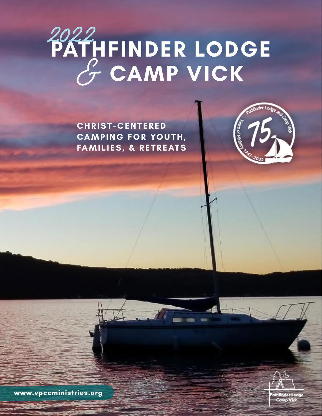## **PATHFINDER LODGE** & **CAMP VICK** 2022

**C H R I S T - C E N T E R E D CAMPING FOR YOUTH, FAMILIES, & RETREATS**





**www.vpccministries.org**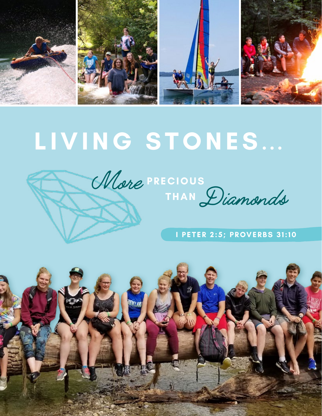

# **LIVING STONES...**





### **I PETER 2:5; PROVERBS 31:10**

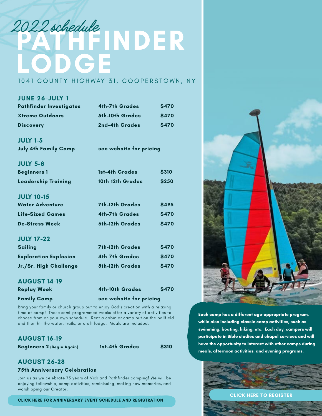## **PATHER INDER LODGE** 2022 schedule

#### 1041 COUNTY HIGHWAY 31, COOPERSTOWN, NY

| <b>JUNE 26-JULY 1</b>          |                         |              |  |  |
|--------------------------------|-------------------------|--------------|--|--|
| <b>Pathfinder Investigates</b> | <b>4th-7th Grades</b>   | <b>\$470</b> |  |  |
| <b>Xtreme Outdoors</b>         | 5th-10th Grades         | <b>\$470</b> |  |  |
| <b>Discovery</b>               | 2nd-4th Grades          | <b>\$470</b> |  |  |
| <b>JULY 1-5</b>                |                         |              |  |  |
| <b>July 4th Family Camp</b>    | see website for pricing |              |  |  |
| <b>JULY 5-8</b>                |                         |              |  |  |
| <b>Beginners 1</b>             | 1st-4th Grades          | <b>S310</b>  |  |  |
| <b>Leadership Training</b>     | 10th-12th Grades        | \$250        |  |  |
| <b>JULY 10-15</b>              |                         |              |  |  |
| <b>Water Adventure</b>         | <b>7th-12th Grades</b>  | <b>\$495</b> |  |  |
| Life-Sized Games               | <b>4th-7th Grades</b>   | \$470        |  |  |
| <b>De-Stress Week</b>          | 6th-12th Grades         | <b>\$470</b> |  |  |
| <b>JULY 17-22</b>              |                         |              |  |  |
| <b>Sailing</b>                 | <b>7th-12th Grades</b>  | <b>S470</b>  |  |  |
| <b>Exploration Explosion</b>   | <b>4th-7th Grades</b>   | \$470        |  |  |
| Jr./Sr. High Challenge         | 8th-12th Grades         | <b>\$470</b> |  |  |
| <b>AUGUST 14-19</b>            |                         |              |  |  |
| <b>Replay Week</b>             | <b>4th-10th Grades</b>  | <b>\$470</b> |  |  |

**Family Camp see website for pricing**

Bring your family or church group out to enjoy God's creation with a relaxing time at camp! These semi-programmed weeks offer a variety of activities to choose from on your own schedule. Rent a cabin or camp out on the ballfield and then hit the water, trails, or craft lodge. Meals are included.

#### **AUGUST 16-19**

**Beginners 2 (Begin Again) 1st-4th Grades \$310**

#### **AUGUST 26-28**

#### **75th Anniversary Celebration**

Join us as we celebrate 75 years of Vick and Pathfinder camping! We will be enjoying fellowship, camp activities, reminiscing, making new memories, and worshipping our Creator.

**[CLICK HERE FOR ANNIVERSARY EVENT SCHEDULE AND REGISTRATION](http://www.vpccministries.org/pathfinder-lodge/pathfinder75/)**



**Each camp has a different age-appropriate program, while also including classic camp activities, such as swimming, boating, hiking, etc. Each day, campers will participate in Bible studies and chapel services and will have the opportunity to interact with other camps during meals, afternoon activities, and evening programs.** 

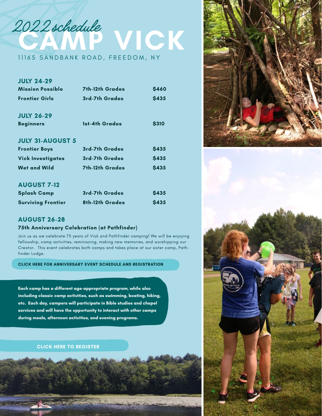

| <b>JULY 24-29</b>        |                        |             |
|--------------------------|------------------------|-------------|
|                          | <b>7th-12th Grades</b> |             |
| <b>Mission Possible</b>  |                        | <b>S460</b> |
| <b>Frontier Girls</b>    | 3rd-7th Grades         | <b>S435</b> |
| <b>JULY 26-29</b>        |                        |             |
| <b>Beginners</b>         | 1st-4th Grades         | <b>S310</b> |
| <b>JULY 31-AUGUST 5</b>  |                        |             |
| <b>Frontier Boys</b>     | 3rd-7th Grades         | <b>S435</b> |
| <b>Vick Investigates</b> | 3rd-7th Grades         | <b>S435</b> |
| <b>Wet and Wild</b>      | <b>7th-12th Grades</b> | <b>S435</b> |
| <b>AUGUST 7-12</b>       |                        |             |
| <b>Splash Camp</b>       | 3rd-7th Grades         | <b>S435</b> |





#### **AUGUST 26-28**

#### **75th Anniversary Celebration (at Pathfinder)**

Join us as we celebrate 75 years of Vick and Pathfinder camping! We will be enjoying fellowship, camp activities, reminiscing, making new memories, and worshipping our Creator. This event celebrates both camps and takes place at our sister camp, Pathfinder Lodge.

**[CLICK HERE FOR ANNIVERSARY EVENT SCHEDULE AND REGISTRATION](http://www.vpccministries.org/pathfinder-lodge/pathfinder75/)**

**Surviving Frontier 8th-12th Grades \$435**

**Each camp has a different age-appropriate program, while also including classic camp activities, such as swimming, boating, hiking, etc. Each day, campers will participate in Bible studies and chapel services and will have the opportunity to interact with other camps during meals, afternoon activities, and evening programs.** 

#### **[CLICK HERE TO REGISTER](http://vpccministries.org/summer-camp)**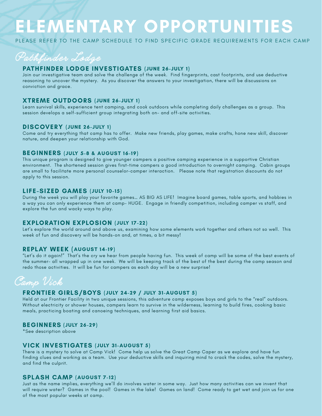### **ELEMENTARY OPPORTUNITIES**

PLEASE REFER TO THE CAMP SCHEDULE TO FIND SPECIFIC GRADE REQUIREMENTS FOR EACH CAMP



#### **PATHFINDER LODGE INVESTIGATES (JUNE 26-JULY 1)**

Join our investigative team and solve the challenge of the week. Find fingerprints, cast footprints, and use deductive reasoning to uncover the mystery. As you discover the answers to your investigation, there will be discussions on conviction and grace.

#### **XTREME OUTDOORS (JUNE 26-JULY 1)**

Learn survival skills, experience tent camping, and cook outdoors while completing daily challenges as a group. This session develops a self-sufficient group integrating both on- and off-site activities.

#### **DISCOVERY (JUNE 26-JULY 1)**

Come and try everything that camp has to offer. Make new friends, play games, make crafts, hone new skill, discover nature, and deepen your relationship with God.

#### **BEGINNERS (JULY 5-8 & AUGUST 16-19)**

This unique program is designed to give younger campers a positive camping experience in a supportive Christian environment. The shortened session gives first-time campers a good introduction to overnight camping. Cabin groups are small to facilitate more personal counselor-camper interaction. Please note that registration discounts do not apply to this session.

#### **LIFE-SIZED GAMES (JULY 10-15)**

During the week you will play your favorite games… AS BIG AS LIFE! Imagine board games, table sports, and hobbies in a way you can only experience them at camp- HUGE. Engage in friendly competition, including camper vs staff, and explore the fun and wacky ways to play.

#### **EXPLORATION EXPLOSION (JULY 17-22)**

Let's explore the world around and above us, examining how some elements work together and others not so well. This week of fun and discovery will be hands-on and, at times, a bit messy!

#### **REPLAY WEEK (AUGUST 14-19)**

"Let's do it again!" That's the cry we hear from people having fun. This week of camp will be some of the best events of the summer- all wrapped up in one week. We will be keeping track of the best of the best during the camp season and redo those activities. It will be fun for campers as each day will be a new surprise!



#### **FRONTIER GIRLS/BOYS (JULY 24-29 / JULY 31-AUGUST 5)**

Held at our Frontier Facility in two unique sessions, this adventure camp exposes boys and girls to the "real" outdoors. Without electricity or shower houses, campers learn to survive in the wilderness, learning to build fires, cooking basic meals, practicing boating and canoeing techniques, and learning first aid basics.

#### **BEGINNERS (JULY 26-29)**

\*See description above

#### **VICK INVESTIGATES (JULY 31-AUGUST 5)**

There is a mystery to solve at Camp Vick! Come help us solve the Great Camp Caper as we explore and have fun finding clues and working as a team. Use your deductive skills and inquiring mind to crack the codes, solve the mystery, and find the culprit.

#### **SPLASH CAMP (AUGUST 7-12)**

Just as the name implies, everything we'll do involves water in some way. Just how many activities can we invent that will require water? Games in the pool! Games in the lake! Games on land! Come ready to get wet and join us for one of the most popular weeks at camp.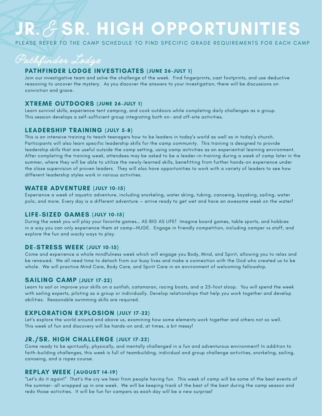## **JR.** & **SR. HIGH OPPORTUNITIES**

PLEASE REFER TO THE CAMP SCHEDULE TO FIND SPECIFIC GRADE REQUIREMENTS FOR EACH CAMP

Pathfinder Lodge

#### **PATHFINDER LODGE INVESTIGATES (JUNE 26-JULY 1)**

Join our investigative team and solve the challenge of the week. Find fingerprints, cast footprints, and use deductive reasoning to uncover the mystery. As you discover the answers to your investigation, there will be discussions on conviction and grace.

#### **XTREME OUTDOORS (JUNE 26-JULY 1)**

Learn survival skills, experience tent camping, and cook outdoors while completing daily challenges as a group. This session develops a self-sufficient group integrating both on- and off-site activities.

#### **LEADERSHIP TRAINING (JULY 5-8)**

This is an intensive training to teach teenagers how to be leaders in today's world as well as in today's church. Participants will also learn specific leadership skills for the camp community. This training is designed to provide leadership skills that are useful outside the camp setting, using camp activities as an experiential learning environment. After completing the training week, attendees may be asked to be a leader-in-training during a week of camp later in the summer, where they will be able to utilize the newly-learned skills, benefitting from further hands-on experience under the close supervision of proven leaders. They will also have opportunities to work with a variety of leaders to see how different leadership styles work in various activities.

#### **WATER ADVENTURE (JULY 10-15)**

Experience a week of aquatic adventure, including snorkeling, water skiing, tubing, canoeing, kayaking, sailing, water polo, and more. Every day is a different adventure — arrive ready to get wet and have an awesome week on the water!

#### **LIFE-SIZED GAMES (JULY 10-15)**

During the week you will play your favorite games… AS BIG AS LIFE! Imagine board games, table sports, and hobbies in a way you can only experience them at camp—HUGE. Engage in friendly competition, including camper vs staff, and explore the fun and wacky ways to play.

#### **DE-STRESS WEEK (JULY 10-15)**

Come and experience a whole mindfulness week which will engage you Body, Mind, and Spirit, allowing you to relax and be renewed. We all need time to detach from our busy lives and make a connection with the God who created us to be whole. We will practice Mind Care, Body Care, and Spirit Care in an environment of welcoming fellowship.

#### **SAILING CAMP (JULY 17-22)**

Learn to sail or improve your skills on a sunfish, catamaran, racing boats, and a 25-foot sloop. You will spend the week with sailing experts, piloting as a group or individually. Develop relationships that help you work together and develop abilities. Reasonable swimming skills are required.

#### **EXPLORATION EXPLOSION (JULY 17-22)**

Let's explore the world around and above us, examining how some elements work together and others not so well. This week of fun and discovery will be hands-on and, at times, a bit messy!

#### **JR./SR. HIGH CHALLENGE (JULY 17-22)**

Come ready to be spiritually, physically, and mentally challenged in a fun and adventurous environment! In addition to faith-building challenges, this week is full of teambuilding, individual and group challenge activities, snorkeling, sailing, canoeing, and a ropes course.

#### **REPLAY WEEK (AUGUST 14-19)**

"Let's do it again!" That's the cry we hear from people having fun. This week of camp will be some of the best events of the summer- all wrapped up in one week. We will be keeping track of the best of the best during the camp season and redo those activities. It will be fun for campers as each day will be a new surprise!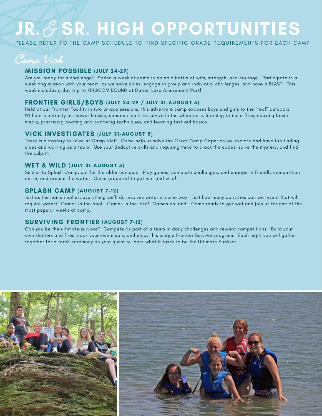## **JR.** & **SR. HIGH OPPORTUNITIES**

PLEASE REFER TO THE CAMP SCHEDULE TO FIND SPECIFIC GRADE REQUIREMENTS FOR EACH CAMP

Camp Vick

#### **MISSION POSSIBLE (JULY 24-29)**

Are you ready for a challenge? Spend a week at camp in an epic battle of wits, strength, and courage. Participate in a weeklong mission with your team, as we solve clues, engage in group and individual challenges, and have a BLAST! This week includes a day trip to KINGDOM BOUND at Darien Lake Amusement Park!

#### **FRONTIER GIRLS/BOYS (JULY 24-29 / JULY 31-AUGUST 5)**

Held at our Frontier Facility in two unique sessions, this adventure camp exposes boys and girls to the "real" outdoors. Without electricity or shower houses, campers learn to survive in the wilderness, learning to build fires, cooking basic meals, practicing boating and canoeing techniques, and learning first aid basics.

#### **VICK INVESTIGATES (JULY 31-AUGUST 5)**

There is a mystery to solve at Camp Vick! Come help us solve the Great Camp Caper as we explore and have fun finding clues and working as a team. Use your deductive skills and inquiring mind to crack the codes, solve the mystery, and find the culprit.

#### **WET & WILD (JULY 31-AUGUST 5)**

Similar to Splash Camp, but for the older campers. Play games, complete challenges, and engage in friendly competition on, in, and around the water. Come prepared to get wet and wild!

#### **SPLASH CAMP (AUGUST 7-12)**

Just as the name implies, everything we'll do involves water in some way. Just how many activities can we invent that will require water? Games in the pool! Games in the lake! Games on land! Come ready to get wet and join us for one of the most popular weeks at camp.

#### **SURVIVING FRONTIER (AUGUST 7-12)**

Can you be the ultimate survivor? Compete as part of a team in daily challenges and reward competitions. Build your own shelters and fires, cook your own meals, and enjoy this unique Frontier Survivor program. Each night you will gather together for a torch ceremony on your quest to learn what it takes to be the Ultimate Survivor!

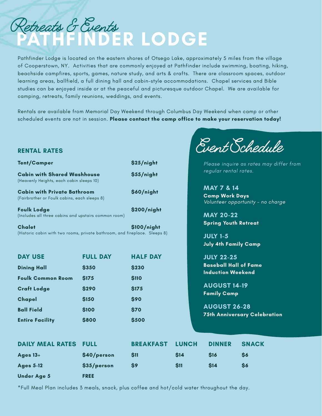

Pathfinder Lodge is located on the eastern shores of Otsego Lake, approximately 5 miles from the village of Cooperstown, NY. Activities that are commonly enjoyed at Pathfinder include swimming, boating, hiking, beachside campfires, sports, games, nature study, and arts & crafts. There are classroom spaces, outdoor learning areas, ballfield, a full dining hall and cabin-style accommodations. Chapel services and Bible studies can be enjoyed inside or at the peaceful and picturesque outdoor Chapel. We are available for camping, retreats, family reunions, weddings, and events.

Rentals are available from Memorial Day Weekend through Columbus Day Weekend when camp or other scheduled events are not in session. **Please contact the camp office to make your reservation today!**

 $\infty$ ,  $\infty$ ,  $\infty$ 

| <b>RENTAL RATES</b>                                                                         |                 |                  |              |                                                          | Cvent Ochedule                          |  |
|---------------------------------------------------------------------------------------------|-----------------|------------------|--------------|----------------------------------------------------------|-----------------------------------------|--|
| <b>Tent/Camper</b>                                                                          |                 | \$25/night       |              |                                                          | Please inquire as rates may differ from |  |
| <b>Cabin with Shared Washhouse</b><br>(Heavenly Heights, each cabin sleeps 10)              |                 | \$55/night       |              | regular rental rates.                                    |                                         |  |
| <b>Cabin with Private Bathroom</b><br>(Fairbrother or Foulk cabins, each sleeps 8)          |                 | \$60/night       |              | <b>MAY 7 &amp; 14</b><br><b>Camp Work Days</b>           | Volunteer opportunity - no charge       |  |
| <b>Foulk Lodge</b><br>(Includes all three cabins and upstairs common room)                  |                 | \$200/night      |              | <b>MAY 20-22</b><br><b>Spring Youth Retreat</b>          |                                         |  |
| <b>Chalet</b><br>(Historic cabin with two rooms, private bathroom, and fireplace. Sleeps 8) |                 | \$100/night      |              | <b>JULY 1-5</b><br><b>July 4th Family Camp</b>           |                                         |  |
| <b>DAY USE</b>                                                                              | <b>FULL DAY</b> | <b>HALF DAY</b>  |              | <b>JULY 22-25</b>                                        |                                         |  |
| <b>Dining Hall</b>                                                                          | \$350           | <b>\$230</b>     |              | <b>Baseball Hall of Fame</b><br><b>Induction Weekend</b> |                                         |  |
| <b>Foulk Common Room</b>                                                                    | \$175           | <b>\$110</b>     |              |                                                          |                                         |  |
| <b>Craft Lodge</b>                                                                          | \$290           | \$175            |              | <b>AUGUST 14-19</b>                                      |                                         |  |
| Chapel                                                                                      | \$150           | \$90             |              | <b>Family Camp</b>                                       |                                         |  |
| <b>Ball Field</b>                                                                           | \$100           | \$70             |              | <b>AUGUST 26-28</b>                                      |                                         |  |
| <b>Entire Facility</b>                                                                      | \$800           | \$500            |              |                                                          | <b>75th Anniversary Celebration</b>     |  |
| <b>DAILY MEAL RATES</b>                                                                     | <b>FULL</b>     | <b>BREAKFAST</b> | <b>LUNCH</b> | <b>DINNER</b>                                            | <b>SNACK</b>                            |  |
| Ages 13+                                                                                    | \$40/person     | \$11             | \$14         | <b>\$16</b>                                              | \$6                                     |  |
| <b>Ages 5-12</b>                                                                            | \$35/person     | \$9              | \$11         | \$14                                                     | \$6                                     |  |
| <b>Under Age 5</b>                                                                          | <b>FREE</b>     |                  |              |                                                          |                                         |  |

\*Full Meal Plan includes 3 meals, snack, plus coffee and hot/cold water throughout the day.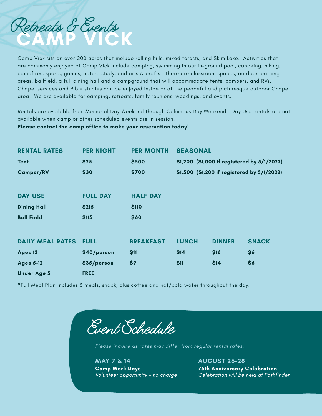

Camp Vick sits on over 200 acres that include rolling hills, mixed forests, and Skim Lake. Activities that are commonly enjoyed at Camp Vick include camping, swimming in our in-ground pool, canoeing, hiking, campfires, sports, games, nature study, and arts & crafts. There are classroom spaces, outdoor learning areas, ballfield, a full dining hall and a campground that will accommodate tents, campers, and RVs. Chapel services and Bible studies can be enjoyed inside or at the peaceful and picturesque outdoor Chapel area. We are available for camping, retreats, family reunions, weddings, and events.

Rentals are available from Memorial Day Weekend through Columbus Day Weekend. Day Use rentals are not available when camp or other scheduled events are in session.

**Please contact the camp office to make your reservation today!**

| <b>RENTAL RATES</b>     | <b>PER NIGHT</b> | <b>PER MONTH</b> | <b>SEASONAL</b>                             |               |              |  |
|-------------------------|------------------|------------------|---------------------------------------------|---------------|--------------|--|
| <b>Tent</b>             | \$25             | \$500            | \$1,200 (\$1,000 if registered by 5/1/2022) |               |              |  |
| <b>Camper/RV</b>        | \$30             | \$700            | \$1,500 (\$1,200 if registered by 5/1/2022) |               |              |  |
|                         |                  |                  |                                             |               |              |  |
| <b>DAY USE</b>          | <b>FULL DAY</b>  | <b>HALF DAY</b>  |                                             |               |              |  |
| <b>Dining Hall</b>      | \$215            | \$110            |                                             |               |              |  |
| <b>Ball Field</b>       | \$115            | \$60             |                                             |               |              |  |
| <b>DAILY MEAL RATES</b> | <b>FULL</b>      | <b>BREAKFAST</b> | <b>LUNCH</b>                                | <b>DINNER</b> | <b>SNACK</b> |  |
| Ages $13+$              | \$40/person      | \$11             | \$14                                        | \$16          | \$6          |  |
| <b>Ages 5-12</b>        | \$35/person      | \$9              | \$11                                        | \$14          | \$6          |  |
| <b>Under Age 5</b>      | <b>FREE</b>      |                  |                                             |               |              |  |

\*Full Meal Plan includes 3 meals, snack, plus coffee and hot/cold water throughout the day.

Event Schedule

Please inquire as rates may differ from regular rental rates.

**MAY 7 & 14 AUGUST 26-28 Camp Work Days 75th Anniversary Celebration**

Volunteer opportunity - no charge Celebration will be held at Pathfinder